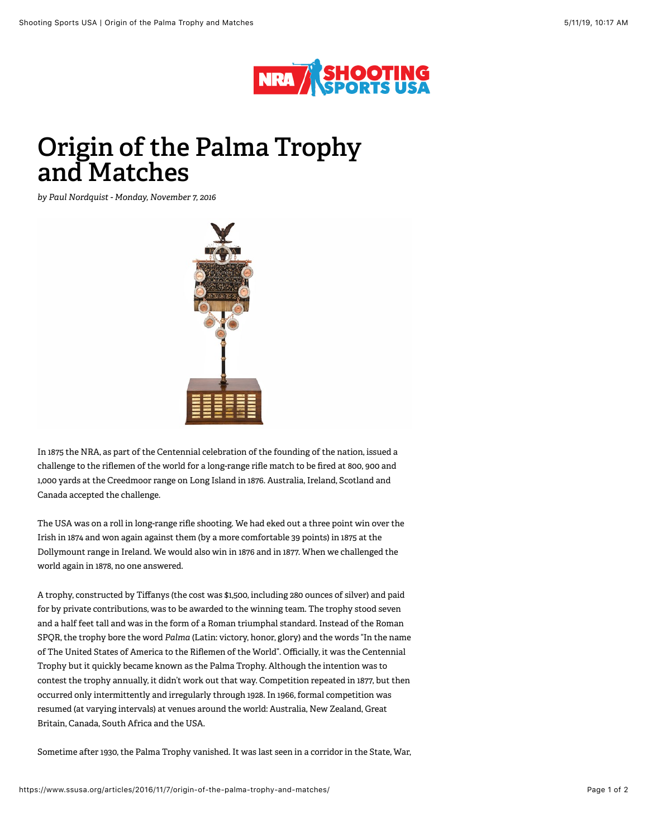

## **Origin of the Palma Trophy and Matches**

*by Paul Nordquist - Monday, November 7, 2016*



In 1875 the NRA, as part of the Centennial celebration of the founding of the nation, issued a challenge to the riflemen of the world for a long-range rifle match to be fired at 800, 900 and 1,000 yards at the [Creedmoor range on Long Island i](https://www.ssusa.org/articles/2016/7/1/a-historical-look-at-national-match-ranges/)n 1876. Australia, Ireland, Scotland and Canada accepted the challenge.

The USA was on a roll in long-range rifle shooting. We had eked out a three point win over the Irish in 1874 and won again against them (by a more comfortable 39 points) in 1875 at the Dollymount range in Ireland. We would also win in 1876 and in 1877. When we challenged the world again in 1878, no one answered.

A trophy, constructed by Tiffanys (the cost was \$1,500, including 280 ounces of silver) and paid for by private contributions, was to be awarded to the winning team. The trophy stood seven and a half feet tall and was in the form of a Roman triumphal standard. Instead of the Roman SPQR, the trophy bore the word *Palma* (Latin: victory, honor, glory) and the words "In the name of The United States of America to the Riflemen of the World". Officially, it was the Centennial Trophy but it quickly became known as the Palma Trophy. Although the intention was to contest the trophy annually, it didn't work out that way. Competition repeated in 1877, but then occurred only intermittently and irregularly through 1928. In 1966, formal competition was resumed (at varying intervals) at venues around the world: Australia, New Zealand, Great Britain, Canada, South Africa and the USA.

Sometime after 1930, the Palma Trophy vanished. It was last seen in a corridor in the State, War,